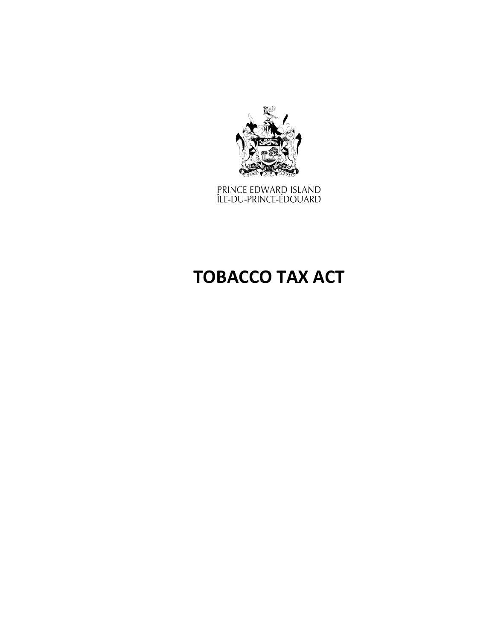

PRINCE EDWARD ISLAND<br>ÎLE-DU-PRINCE-ÉDOUARD

# **TOBACCO TAX ACT**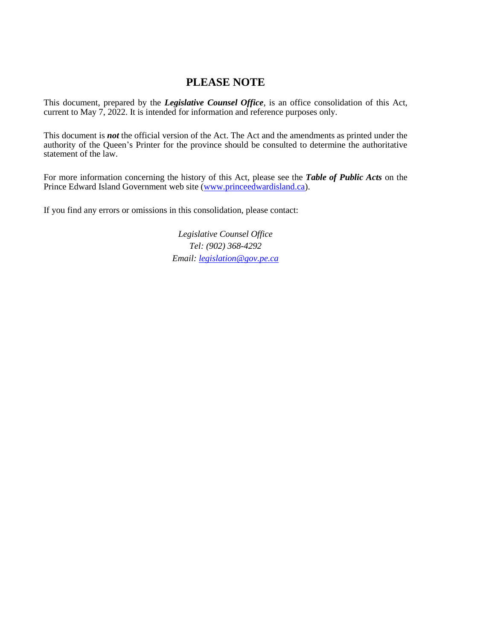# **PLEASE NOTE**

This document, prepared by the *[Legislative](http://www.gov.pe.ca/jps/index.php3?number=1027247) Counsel Office*, is an office consolidation of this Act, current to May 7, 2022. It is intended for information and reference purposes only.

This document is *not* the official version of the Act. The Act and the amendments as printed under the authority of the Queen's Printer for the province should be consulted to determine the authoritative statement of the law.

For more information concerning the history of this Act, please see the *[Table of Public Acts](https://www.princeedwardisland.ca/sites/default/files/publications/leg_table_acts.pdf)* on the Prince Edward Island Government web site [\(www.princeedwardisland.ca\)](http://www.princeedwardisland.ca/).

If you find any errors or omissions in this consolidation, please contact:

*Legislative Counsel Office Tel: (902) 368-4292 Email: [legislation@gov.pe.ca](mailto:legislation@gov.pe.ca)*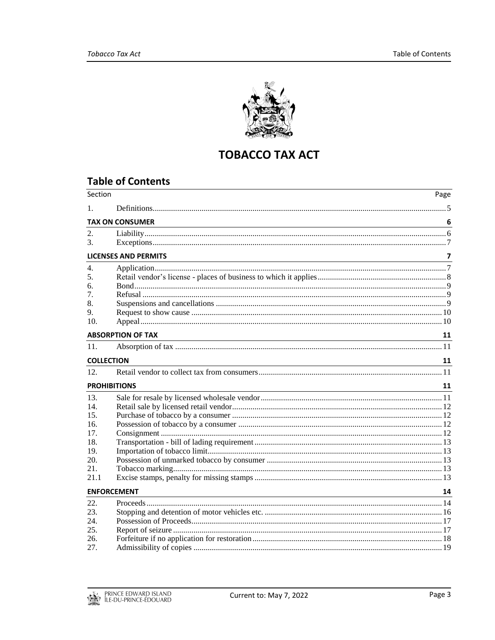

# **TOBACCO TAX ACT**

# **Table of Contents**

| <b>TAX ON CONSUMER</b><br>6<br><u> 1989 - Johann Stoff, amerikansk politiker (d. 1989)</u><br>$\overline{z}$<br><b>LICENSES AND PERMITS</b><br><u> 1989 - Johann Stoff, deutscher Stoff, der Stoff, der Stoff, der Stoff, der Stoff, der Stoff, der Stoff, der S</u><br>5.<br>6.<br>7.<br>8.<br>9.<br>10.<br><b>ABSORPTION OF TAX</b><br>11<br>11.<br><b>COLLECTION</b><br>11<br><b>PROHIBITIONS</b><br>11<br><u> 1989 - Johann Stoff, amerikansk politiker (d. 1989)</u><br>14.<br>15.<br>16.<br>17.<br>18.<br>19.<br>20.<br>21.<br>21.1<br><b>ENFORCEMENT</b><br>14<br><u> 1980 - Johann Barn, mars ann an t-Amhainn an t-Amhainn an t-Amhainn an t-Amhainn an t-Amhainn an t-Amhainn an</u><br>23.<br>24.<br>25.<br>26.<br>27. | Section  | Page |
|-----------------------------------------------------------------------------------------------------------------------------------------------------------------------------------------------------------------------------------------------------------------------------------------------------------------------------------------------------------------------------------------------------------------------------------------------------------------------------------------------------------------------------------------------------------------------------------------------------------------------------------------------------------------------------------------------------------------------------------|----------|------|
|                                                                                                                                                                                                                                                                                                                                                                                                                                                                                                                                                                                                                                                                                                                                   | 1.       |      |
|                                                                                                                                                                                                                                                                                                                                                                                                                                                                                                                                                                                                                                                                                                                                   |          |      |
|                                                                                                                                                                                                                                                                                                                                                                                                                                                                                                                                                                                                                                                                                                                                   | 2.<br>3. |      |
|                                                                                                                                                                                                                                                                                                                                                                                                                                                                                                                                                                                                                                                                                                                                   |          |      |
|                                                                                                                                                                                                                                                                                                                                                                                                                                                                                                                                                                                                                                                                                                                                   | 4.       |      |
|                                                                                                                                                                                                                                                                                                                                                                                                                                                                                                                                                                                                                                                                                                                                   |          |      |
|                                                                                                                                                                                                                                                                                                                                                                                                                                                                                                                                                                                                                                                                                                                                   |          |      |
|                                                                                                                                                                                                                                                                                                                                                                                                                                                                                                                                                                                                                                                                                                                                   |          |      |
|                                                                                                                                                                                                                                                                                                                                                                                                                                                                                                                                                                                                                                                                                                                                   |          |      |
|                                                                                                                                                                                                                                                                                                                                                                                                                                                                                                                                                                                                                                                                                                                                   |          |      |
|                                                                                                                                                                                                                                                                                                                                                                                                                                                                                                                                                                                                                                                                                                                                   |          |      |
|                                                                                                                                                                                                                                                                                                                                                                                                                                                                                                                                                                                                                                                                                                                                   |          |      |
|                                                                                                                                                                                                                                                                                                                                                                                                                                                                                                                                                                                                                                                                                                                                   |          |      |
|                                                                                                                                                                                                                                                                                                                                                                                                                                                                                                                                                                                                                                                                                                                                   |          |      |
|                                                                                                                                                                                                                                                                                                                                                                                                                                                                                                                                                                                                                                                                                                                                   | 12.      |      |
|                                                                                                                                                                                                                                                                                                                                                                                                                                                                                                                                                                                                                                                                                                                                   |          |      |
|                                                                                                                                                                                                                                                                                                                                                                                                                                                                                                                                                                                                                                                                                                                                   | 13.      |      |
|                                                                                                                                                                                                                                                                                                                                                                                                                                                                                                                                                                                                                                                                                                                                   |          |      |
|                                                                                                                                                                                                                                                                                                                                                                                                                                                                                                                                                                                                                                                                                                                                   |          |      |
|                                                                                                                                                                                                                                                                                                                                                                                                                                                                                                                                                                                                                                                                                                                                   |          |      |
|                                                                                                                                                                                                                                                                                                                                                                                                                                                                                                                                                                                                                                                                                                                                   |          |      |
|                                                                                                                                                                                                                                                                                                                                                                                                                                                                                                                                                                                                                                                                                                                                   |          |      |
|                                                                                                                                                                                                                                                                                                                                                                                                                                                                                                                                                                                                                                                                                                                                   |          |      |
|                                                                                                                                                                                                                                                                                                                                                                                                                                                                                                                                                                                                                                                                                                                                   |          |      |
|                                                                                                                                                                                                                                                                                                                                                                                                                                                                                                                                                                                                                                                                                                                                   |          |      |
|                                                                                                                                                                                                                                                                                                                                                                                                                                                                                                                                                                                                                                                                                                                                   |          |      |
|                                                                                                                                                                                                                                                                                                                                                                                                                                                                                                                                                                                                                                                                                                                                   |          |      |
|                                                                                                                                                                                                                                                                                                                                                                                                                                                                                                                                                                                                                                                                                                                                   | 22.      |      |
|                                                                                                                                                                                                                                                                                                                                                                                                                                                                                                                                                                                                                                                                                                                                   |          |      |
|                                                                                                                                                                                                                                                                                                                                                                                                                                                                                                                                                                                                                                                                                                                                   |          |      |
|                                                                                                                                                                                                                                                                                                                                                                                                                                                                                                                                                                                                                                                                                                                                   |          |      |
|                                                                                                                                                                                                                                                                                                                                                                                                                                                                                                                                                                                                                                                                                                                                   |          |      |
|                                                                                                                                                                                                                                                                                                                                                                                                                                                                                                                                                                                                                                                                                                                                   |          |      |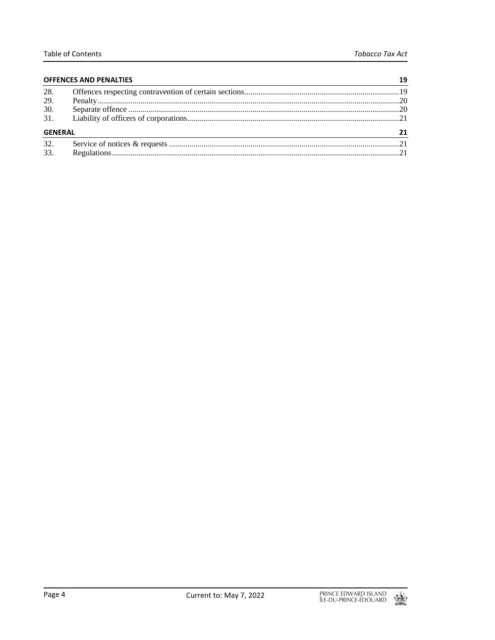| <b>OFFENCES AND PENALTIES</b> |  |  |
|-------------------------------|--|--|
| 28.                           |  |  |
| 29.                           |  |  |
| 30.                           |  |  |
| 31.                           |  |  |
| <b>GENERAL</b>                |  |  |
| 32.                           |  |  |
| 33.                           |  |  |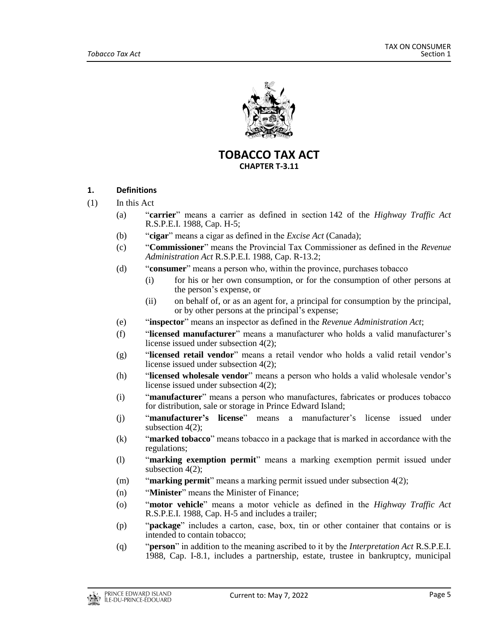

**TOBACCO TAX ACT CHAPTER T-3.11**

# <span id="page-4-0"></span>**1. Definitions**

- (1) In this Act
	- (a) "**carrier**" means a carrier as defined in section 142 of the *Highway Traffic Act* R.S.P.E.I. 1988, Cap. H-5;
	- (b) "**cigar**" means a cigar as defined in the *Excise Act* (Canada);
	- (c) "**Commissioner**" means the Provincial Tax Commissioner as defined in the *Revenue Administration Act* R.S.P.E.I. 1988, Cap. R-13.2;
	- (d) "**consumer**" means a person who, within the province, purchases tobacco
		- (i) for his or her own consumption, or for the consumption of other persons at the person's expense, or
		- (ii) on behalf of, or as an agent for, a principal for consumption by the principal, or by other persons at the principal's expense;
	- (e) "**inspector**" means an inspector as defined in the *Revenue Administration Act*;
	- (f) "**licensed manufacturer**" means a manufacturer who holds a valid manufacturer's license issued under subsection 4(2);
	- (g) "**licensed retail vendor**" means a retail vendor who holds a valid retail vendor's license issued under subsection 4(2);
	- (h) "**licensed wholesale vendor**" means a person who holds a valid wholesale vendor's license issued under subsection 4(2);
	- (i) "**manufacturer**" means a person who manufactures, fabricates or produces tobacco for distribution, sale or storage in Prince Edward Island;
	- (j) "**manufacturer's license**" means a manufacturer's license issued under subsection 4(2);
	- (k) "**marked tobacco**" means tobacco in a package that is marked in accordance with the regulations;
	- (l) "**marking exemption permit**" means a marking exemption permit issued under subsection 4(2);
	- (m) "**marking permit**" means a marking permit issued under subsection 4(2);
	- (n) "**Minister**" means the Minister of Finance;
	- (o) "**motor vehicle**" means a motor vehicle as defined in the *Highway Traffic Act* R.S.P.E.I. 1988, Cap. H-5 and includes a trailer;
	- (p) "**package**" includes a carton, case, box, tin or other container that contains or is intended to contain tobacco;
	- (q) "**person**" in addition to the meaning ascribed to it by the *Interpretation Act* R.S.P.E.I. 1988, Cap. I-8.1, includes a partnership, estate, trustee in bankruptcy, municipal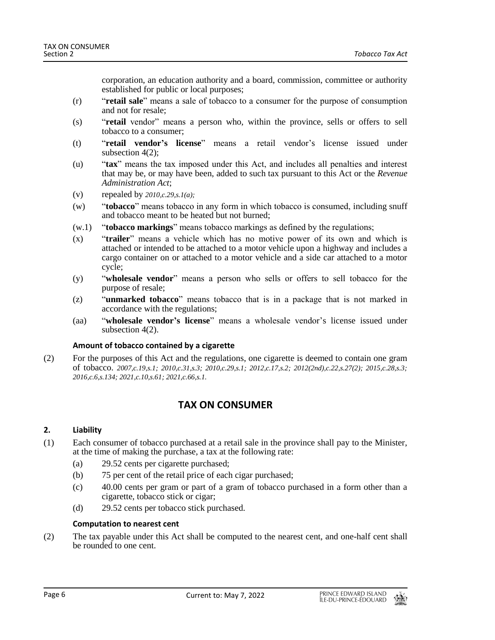corporation, an education authority and a board, commission, committee or authority established for public or local purposes;

- (r) "**retail sale**" means a sale of tobacco to a consumer for the purpose of consumption and not for resale;
- (s) "**retail** vendor" means a person who, within the province, sells or offers to sell tobacco to a consumer;
- (t) "**retail vendor's license**" means a retail vendor's license issued under subsection  $4(2)$ :
- (u) "**tax**" means the tax imposed under this Act, and includes all penalties and interest that may be, or may have been, added to such tax pursuant to this Act or the *Revenue Administration Act*;
- (v) repealed by *2010,c.29,s.1(a);*
- (w) "**tobacco**" means tobacco in any form in which tobacco is consumed, including snuff and tobacco meant to be heated but not burned;
- (w.1) "**tobacco markings**" means tobacco markings as defined by the regulations;
- (x) "**trailer**" means a vehicle which has no motive power of its own and which is attached or intended to be attached to a motor vehicle upon a highway and includes a cargo container on or attached to a motor vehicle and a side car attached to a motor cycle;
- (y) "**wholesale vendor**" means a person who sells or offers to sell tobacco for the purpose of resale;
- (z) "**unmarked tobacco**" means tobacco that is in a package that is not marked in accordance with the regulations;
- (aa) "**wholesale vendor's license**" means a wholesale vendor's license issued under subsection  $4(2)$ .

# **Amount of tobacco contained by a cigarette**

<span id="page-5-0"></span>(2) For the purposes of this Act and the regulations, one cigarette is deemed to contain one gram of tobacco. *2007,c.19,s.1; 2010,c.31,s.3; 2010,c.29,s.1; 2012,c.17,s.2; 2012(2nd),c.22,s.27(2); 2015,c.28,s.3; 2016,c.6,s.134; 2021,c.10,s.61; 2021,c.66,s.1.*

# **TAX ON CONSUMER**

# <span id="page-5-1"></span>**2. Liability**

- (1) Each consumer of tobacco purchased at a retail sale in the province shall pay to the Minister, at the time of making the purchase, a tax at the following rate:
	- (a) 29.52 cents per cigarette purchased;
	- (b) 75 per cent of the retail price of each cigar purchased;
	- (c) 40.00 cents per gram or part of a gram of tobacco purchased in a form other than a cigarette, tobacco stick or cigar;
	- (d) 29.52 cents per tobacco stick purchased.

# **Computation to nearest cent**

(2) The tax payable under this Act shall be computed to the nearest cent, and one-half cent shall be rounded to one cent.

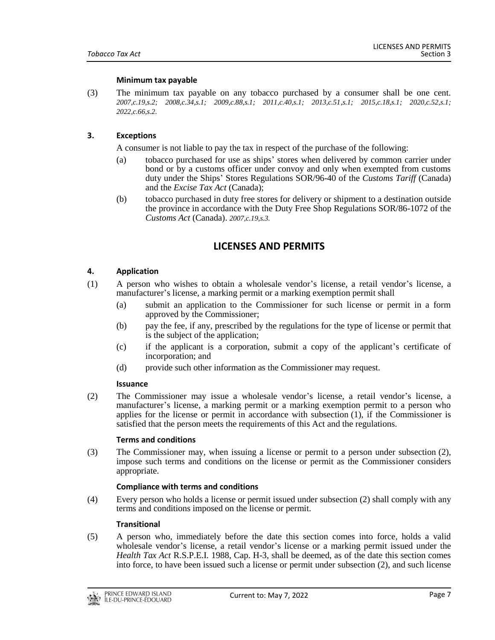#### **Minimum tax payable**

(3) The minimum tax payable on any tobacco purchased by a consumer shall be one cent. *2007,c.19,s.2; 2008,c.34,s.1; 2009,c.88,s.1; 2011,c.40,s.1; 2013,c.51,s.1; 2015,c.18,s.1; 2020,c.52,s.1; 2022,c.66,s.2.*

## <span id="page-6-0"></span>**3. Exceptions**

A consumer is not liable to pay the tax in respect of the purchase of the following:

- (a) tobacco purchased for use as ships' stores when delivered by common carrier under bond or by a customs officer under convoy and only when exempted from customs duty under the Ships' Stores Regulations SOR/96-40 of the *Customs Tariff* (Canada) and the *Excise Tax Act* (Canada);
- <span id="page-6-1"></span>(b) tobacco purchased in duty free stores for delivery or shipment to a destination outside the province in accordance with the Duty Free Shop Regulations SOR/86-1072 of the *Customs Act* (Canada). *2007,c.19,s.3.*

# **LICENSES AND PERMITS**

# <span id="page-6-2"></span>**4. Application**

- (1) A person who wishes to obtain a wholesale vendor's license, a retail vendor's license, a manufacturer's license, a marking permit or a marking exemption permit shall
	- (a) submit an application to the Commissioner for such license or permit in a form approved by the Commissioner;
	- (b) pay the fee, if any, prescribed by the regulations for the type of license or permit that is the subject of the application;
	- (c) if the applicant is a corporation, submit a copy of the applicant's certificate of incorporation; and
	- (d) provide such other information as the Commissioner may request.

#### **Issuance**

(2) The Commissioner may issue a wholesale vendor's license, a retail vendor's license, a manufacturer's license, a marking permit or a marking exemption permit to a person who applies for the license or permit in accordance with subsection (1), if the Commissioner is satisfied that the person meets the requirements of this Act and the regulations.

#### **Terms and conditions**

(3) The Commissioner may, when issuing a license or permit to a person under subsection (2), impose such terms and conditions on the license or permit as the Commissioner considers appropriate.

#### **Compliance with terms and conditions**

(4) Every person who holds a license or permit issued under subsection (2) shall comply with any terms and conditions imposed on the license or permit.

#### **Transitional**

(5) A person who, immediately before the date this section comes into force, holds a valid wholesale vendor's license, a retail vendor's license or a marking permit issued under the *Health Tax Act* R.S.P.E.I. 1988, Cap. H-3, shall be deemed, as of the date this section comes into force, to have been issued such a license or permit under subsection (2), and such license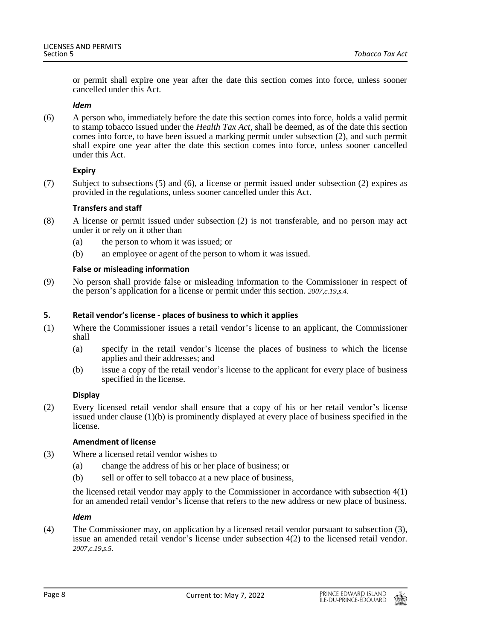or permit shall expire one year after the date this section comes into force, unless sooner cancelled under this Act.

#### *Idem*

(6) A person who, immediately before the date this section comes into force, holds a valid permit to stamp tobacco issued under the *Health Tax Act*, shall be deemed, as of the date this section comes into force, to have been issued a marking permit under subsection (2), and such permit shall expire one year after the date this section comes into force, unless sooner cancelled under this Act.

# **Expiry**

(7) Subject to subsections (5) and (6), a license or permit issued under subsection (2) expires as provided in the regulations, unless sooner cancelled under this Act.

# **Transfers and staff**

- (8) A license or permit issued under subsection (2) is not transferable, and no person may act under it or rely on it other than
	- (a) the person to whom it was issued; or
	- (b) an employee or agent of the person to whom it was issued.

# **False or misleading information**

(9) No person shall provide false or misleading information to the Commissioner in respect of the person's application for a license or permit under this section. *2007,c.19,s.4.*

# <span id="page-7-0"></span>**5. Retail vendor's license - places of business to which it applies**

- (1) Where the Commissioner issues a retail vendor's license to an applicant, the Commissioner shall
	- (a) specify in the retail vendor's license the places of business to which the license applies and their addresses; and
	- (b) issue a copy of the retail vendor's license to the applicant for every place of business specified in the license.

# **Display**

(2) Every licensed retail vendor shall ensure that a copy of his or her retail vendor's license issued under clause (1)(b) is prominently displayed at every place of business specified in the license.

# **Amendment of license**

- (3) Where a licensed retail vendor wishes to
	- (a) change the address of his or her place of business; or
	- (b) sell or offer to sell tobacco at a new place of business,

the licensed retail vendor may apply to the Commissioner in accordance with subsection 4(1) for an amended retail vendor's license that refers to the new address or new place of business.

# *Idem*

(4) The Commissioner may, on application by a licensed retail vendor pursuant to subsection (3), issue an amended retail vendor's license under subsection 4(2) to the licensed retail vendor. *2007,c.19,s.5.*

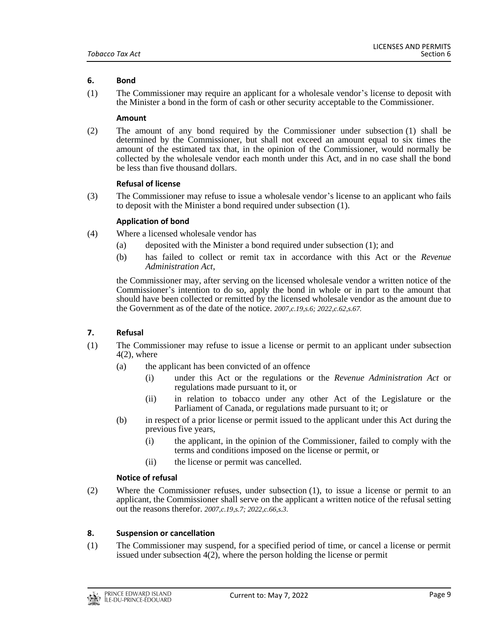# <span id="page-8-0"></span>**6. Bond**

(1) The Commissioner may require an applicant for a wholesale vendor's license to deposit with the Minister a bond in the form of cash or other security acceptable to the Commissioner.

#### **Amount**

(2) The amount of any bond required by the Commissioner under subsection (1) shall be determined by the Commissioner, but shall not exceed an amount equal to six times the amount of the estimated tax that, in the opinion of the Commissioner, would normally be collected by the wholesale vendor each month under this Act, and in no case shall the bond be less than five thousand dollars.

#### **Refusal of license**

(3) The Commissioner may refuse to issue a wholesale vendor's license to an applicant who fails to deposit with the Minister a bond required under subsection (1).

#### **Application of bond**

- (4) Where a licensed wholesale vendor has
	- (a) deposited with the Minister a bond required under subsection (1); and
	- (b) has failed to collect or remit tax in accordance with this Act or the *Revenue Administration Act*,

the Commissioner may, after serving on the licensed wholesale vendor a written notice of the Commissioner's intention to do so, apply the bond in whole or in part to the amount that should have been collected or remitted by the licensed wholesale vendor as the amount due to the Government as of the date of the notice. *2007,c.19,s.6; 2022,c.62,s.67.*

# <span id="page-8-1"></span>**7. Refusal**

- (1) The Commissioner may refuse to issue a license or permit to an applicant under subsection  $4(2)$ , where
	- (a) the applicant has been convicted of an offence
		- (i) under this Act or the regulations or the *Revenue Administration Act* or regulations made pursuant to it, or
		- (ii) in relation to tobacco under any other Act of the Legislature or the Parliament of Canada, or regulations made pursuant to it; or
	- (b) in respect of a prior license or permit issued to the applicant under this Act during the previous five years,
		- (i) the applicant, in the opinion of the Commissioner, failed to comply with the terms and conditions imposed on the license or permit, or
		- (ii) the license or permit was cancelled.

#### **Notice of refusal**

(2) Where the Commissioner refuses, under subsection (1), to issue a license or permit to an applicant, the Commissioner shall serve on the applicant a written notice of the refusal setting out the reasons therefor. *2007,c.19,s.7; 2022,c.66,s.3.*

# <span id="page-8-2"></span>**8. Suspension or cancellation**

(1) The Commissioner may suspend, for a specified period of time, or cancel a license or permit issued under subsection 4(2), where the person holding the license or permit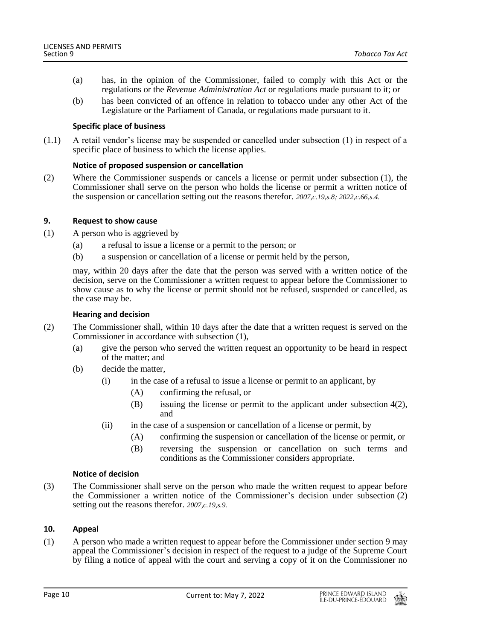- (a) has, in the opinion of the Commissioner, failed to comply with this Act or the regulations or the *Revenue Administration Act* or regulations made pursuant to it; or
- (b) has been convicted of an offence in relation to tobacco under any other Act of the Legislature or the Parliament of Canada, or regulations made pursuant to it.

# **Specific place of business**

(1.1) A retail vendor's license may be suspended or cancelled under subsection (1) in respect of a specific place of business to which the license applies.

# **Notice of proposed suspension or cancellation**

(2) Where the Commissioner suspends or cancels a license or permit under subsection (1), the Commissioner shall serve on the person who holds the license or permit a written notice of the suspension or cancellation setting out the reasons therefor. *2007,c.19,s.8; 2022,c.66,s.4.*

#### <span id="page-9-0"></span>**9. Request to show cause**

- (1) A person who is aggrieved by
	- (a) a refusal to issue a license or a permit to the person; or
	- (b) a suspension or cancellation of a license or permit held by the person,

may, within 20 days after the date that the person was served with a written notice of the decision, serve on the Commissioner a written request to appear before the Commissioner to show cause as to why the license or permit should not be refused, suspended or cancelled, as the case may be.

#### **Hearing and decision**

- (2) The Commissioner shall, within 10 days after the date that a written request is served on the Commissioner in accordance with subsection (1),
	- (a) give the person who served the written request an opportunity to be heard in respect of the matter; and
	- (b) decide the matter,
		- (i) in the case of a refusal to issue a license or permit to an applicant, by
			- (A) confirming the refusal, or
			- (B) issuing the license or permit to the applicant under subsection 4(2), and
			- (ii) in the case of a suspension or cancellation of a license or permit, by
				- (A) confirming the suspension or cancellation of the license or permit, or
				- (B) reversing the suspension or cancellation on such terms and conditions as the Commissioner considers appropriate.

# **Notice of decision**

(3) The Commissioner shall serve on the person who made the written request to appear before the Commissioner a written notice of the Commissioner's decision under subsection (2) setting out the reasons therefor. *2007,c.19,s.9.*

# <span id="page-9-1"></span>**10. Appeal**

(1) A person who made a written request to appear before the Commissioner under section 9 may appeal the Commissioner's decision in respect of the request to a judge of the Supreme Court by filing a notice of appeal with the court and serving a copy of it on the Commissioner no

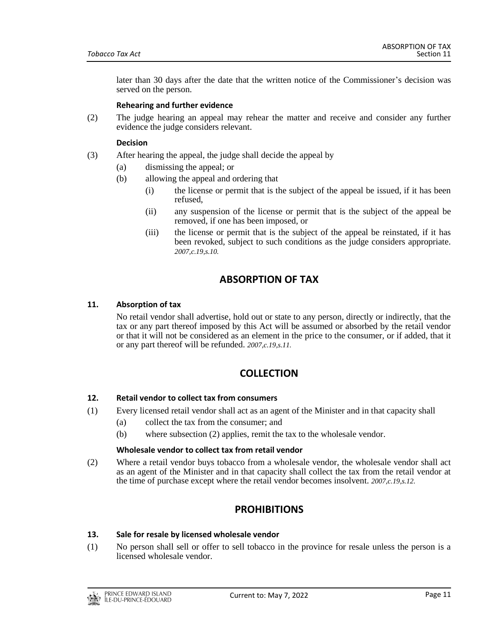later than 30 days after the date that the written notice of the Commissioner's decision was served on the person.

#### **Rehearing and further evidence**

(2) The judge hearing an appeal may rehear the matter and receive and consider any further evidence the judge considers relevant.

#### **Decision**

- (3) After hearing the appeal, the judge shall decide the appeal by
	- (a) dismissing the appeal; or
	- (b) allowing the appeal and ordering that
		- (i) the license or permit that is the subject of the appeal be issued, if it has been refused,
		- (ii) any suspension of the license or permit that is the subject of the appeal be removed, if one has been imposed, or
		- (iii) the license or permit that is the subject of the appeal be reinstated, if it has been revoked, subject to such conditions as the judge considers appropriate. *2007,c.19,s.10.*

# **ABSORPTION OF TAX**

# <span id="page-10-1"></span><span id="page-10-0"></span>**11. Absorption of tax**

No retail vendor shall advertise, hold out or state to any person, directly or indirectly, that the tax or any part thereof imposed by this Act will be assumed or absorbed by the retail vendor or that it will not be considered as an element in the price to the consumer, or if added, that it or any part thereof will be refunded. *2007,c.19,s.11.*

# **COLLECTION**

# <span id="page-10-3"></span><span id="page-10-2"></span>**12. Retail vendor to collect tax from consumers**

- (1) Every licensed retail vendor shall act as an agent of the Minister and in that capacity shall
	- (a) collect the tax from the consumer; and
		- (b) where subsection (2) applies, remit the tax to the wholesale vendor.

#### **Wholesale vendor to collect tax from retail vendor**

<span id="page-10-4"></span>(2) Where a retail vendor buys tobacco from a wholesale vendor, the wholesale vendor shall act as an agent of the Minister and in that capacity shall collect the tax from the retail vendor at the time of purchase except where the retail vendor becomes insolvent. *2007,c.19,s.12.*

# **PROHIBITIONS**

#### <span id="page-10-5"></span>**13. Sale for resale by licensed wholesale vendor**

(1) No person shall sell or offer to sell tobacco in the province for resale unless the person is a licensed wholesale vendor.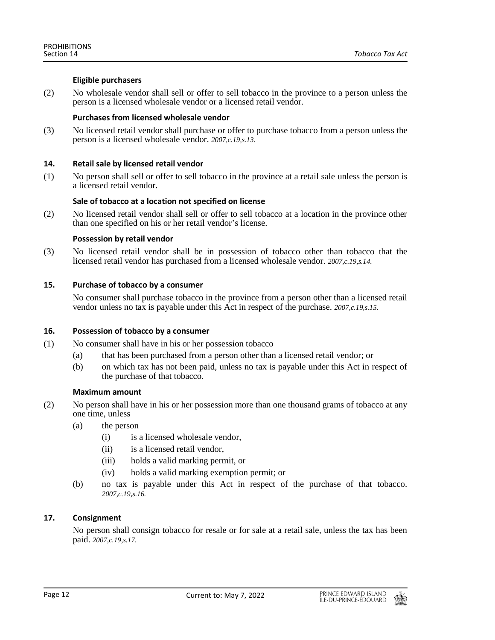# **Eligible purchasers**

(2) No wholesale vendor shall sell or offer to sell tobacco in the province to a person unless the person is a licensed wholesale vendor or a licensed retail vendor.

## **Purchases from licensed wholesale vendor**

(3) No licensed retail vendor shall purchase or offer to purchase tobacco from a person unless the person is a licensed wholesale vendor. *2007,c.19,s.13.*

# <span id="page-11-0"></span>**14. Retail sale by licensed retail vendor**

(1) No person shall sell or offer to sell tobacco in the province at a retail sale unless the person is a licensed retail vendor.

#### **Sale of tobacco at a location not specified on license**

(2) No licensed retail vendor shall sell or offer to sell tobacco at a location in the province other than one specified on his or her retail vendor's license.

#### **Possession by retail vendor**

(3) No licensed retail vendor shall be in possession of tobacco other than tobacco that the licensed retail vendor has purchased from a licensed wholesale vendor. *2007,c.19,s.14.*

## <span id="page-11-1"></span>**15. Purchase of tobacco by a consumer**

No consumer shall purchase tobacco in the province from a person other than a licensed retail vendor unless no tax is payable under this Act in respect of the purchase. *2007,c.19,s.15.*

# <span id="page-11-2"></span>**16. Possession of tobacco by a consumer**

- (1) No consumer shall have in his or her possession tobacco
	- (a) that has been purchased from a person other than a licensed retail vendor; or
	- (b) on which tax has not been paid, unless no tax is payable under this Act in respect of the purchase of that tobacco.

#### **Maximum amount**

- (2) No person shall have in his or her possession more than one thousand grams of tobacco at any one time, unless
	- (a) the person
		- (i) is a licensed wholesale vendor,
		- (ii) is a licensed retail vendor,
		- (iii) holds a valid marking permit, or
		- (iv) holds a valid marking exemption permit; or
	- (b) no tax is payable under this Act in respect of the purchase of that tobacco. *2007,c.19,s.16.*

# <span id="page-11-3"></span>**17. Consignment**

No person shall consign tobacco for resale or for sale at a retail sale, unless the tax has been paid. *2007,c.19,s.17.*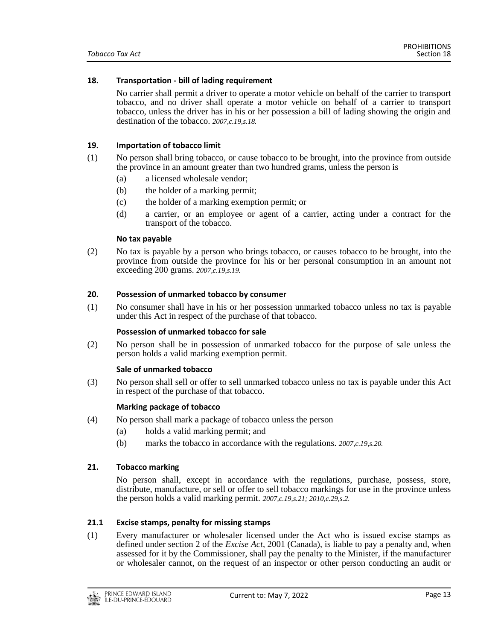#### <span id="page-12-0"></span>**18. Transportation - bill of lading requirement**

No carrier shall permit a driver to operate a motor vehicle on behalf of the carrier to transport tobacco, and no driver shall operate a motor vehicle on behalf of a carrier to transport tobacco, unless the driver has in his or her possession a bill of lading showing the origin and destination of the tobacco. *2007,c.19,s.18.*

# <span id="page-12-1"></span>**19. Importation of tobacco limit**

- (1) No person shall bring tobacco, or cause tobacco to be brought, into the province from outside the province in an amount greater than two hundred grams, unless the person is
	- (a) a licensed wholesale vendor;
	- (b) the holder of a marking permit;
	- (c) the holder of a marking exemption permit; or
	- (d) a carrier, or an employee or agent of a carrier, acting under a contract for the transport of the tobacco.

#### **No tax payable**

(2) No tax is payable by a person who brings tobacco, or causes tobacco to be brought, into the province from outside the province for his or her personal consumption in an amount not exceeding 200 grams. *2007,c.19,s.19.*

#### <span id="page-12-2"></span>**20. Possession of unmarked tobacco by consumer**

(1) No consumer shall have in his or her possession unmarked tobacco unless no tax is payable under this Act in respect of the purchase of that tobacco.

#### **Possession of unmarked tobacco for sale**

(2) No person shall be in possession of unmarked tobacco for the purpose of sale unless the person holds a valid marking exemption permit.

#### **Sale of unmarked tobacco**

(3) No person shall sell or offer to sell unmarked tobacco unless no tax is payable under this Act in respect of the purchase of that tobacco.

#### **Marking package of tobacco**

- (4) No person shall mark a package of tobacco unless the person
	- (a) holds a valid marking permit; and
	- (b) marks the tobacco in accordance with the regulations. *2007,c.19,s.20.*

#### <span id="page-12-3"></span>**21. Tobacco marking**

No person shall, except in accordance with the regulations, purchase, possess, store, distribute, manufacture, or sell or offer to sell tobacco markings for use in the province unless the person holds a valid marking permit. *2007,c.19,s.21; 2010,c.29,s.2.*

#### <span id="page-12-4"></span>**21.1 Excise stamps, penalty for missing stamps**

(1) Every manufacturer or wholesaler licensed under the Act who is issued excise stamps as defined under section 2 of the *Excise Act*, 2001 (Canada), is liable to pay a penalty and, when assessed for it by the Commissioner, shall pay the penalty to the Minister, if the manufacturer or wholesaler cannot, on the request of an inspector or other person conducting an audit or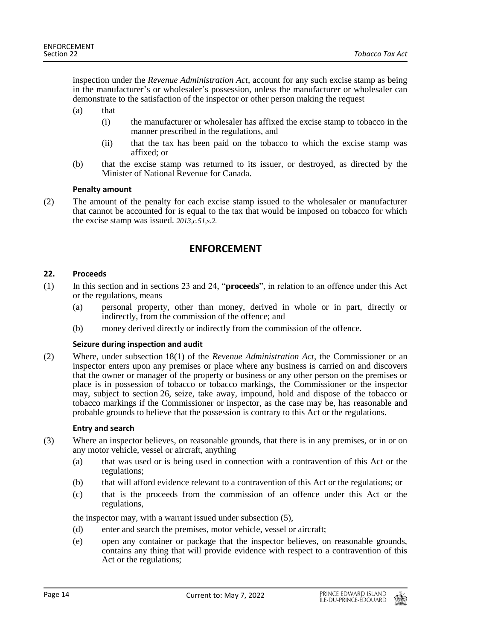inspection under the *Revenue Administration Act*, account for any such excise stamp as being in the manufacturer's or wholesaler's possession, unless the manufacturer or wholesaler can demonstrate to the satisfaction of the inspector or other person making the request

- (a) that
	- (i) the manufacturer or wholesaler has affixed the excise stamp to tobacco in the manner prescribed in the regulations, and
	- (ii) that the tax has been paid on the tobacco to which the excise stamp was affixed; or
- (b) that the excise stamp was returned to its issuer, or destroyed, as directed by the Minister of National Revenue for Canada.

# **Penalty amount**

<span id="page-13-0"></span>(2) The amount of the penalty for each excise stamp issued to the wholesaler or manufacturer that cannot be accounted for is equal to the tax that would be imposed on tobacco for which the excise stamp was issued. *2013,c.51,s.2.*

# **ENFORCEMENT**

#### <span id="page-13-1"></span>**22. Proceeds**

- (1) In this section and in sections 23 and 24, "**proceeds**", in relation to an offence under this Act or the regulations, means
	- (a) personal property, other than money, derived in whole or in part, directly or indirectly, from the commission of the offence; and
	- (b) money derived directly or indirectly from the commission of the offence.

# **Seizure during inspection and audit**

(2) Where, under subsection 18(1) of the *Revenue Administration Act*, the Commissioner or an inspector enters upon any premises or place where any business is carried on and discovers that the owner or manager of the property or business or any other person on the premises or place is in possession of tobacco or tobacco markings, the Commissioner or the inspector may, subject to section 26, seize, take away, impound, hold and dispose of the tobacco or tobacco markings if the Commissioner or inspector, as the case may be, has reasonable and probable grounds to believe that the possession is contrary to this Act or the regulations.

#### **Entry and search**

- (3) Where an inspector believes, on reasonable grounds, that there is in any premises, or in or on any motor vehicle, vessel or aircraft, anything
	- (a) that was used or is being used in connection with a contravention of this Act or the regulations;
	- (b) that will afford evidence relevant to a contravention of this Act or the regulations; or
	- (c) that is the proceeds from the commission of an offence under this Act or the regulations,

the inspector may, with a warrant issued under subsection (5),

- (d) enter and search the premises, motor vehicle, vessel or aircraft;
- (e) open any container or package that the inspector believes, on reasonable grounds, contains any thing that will provide evidence with respect to a contravention of this Act or the regulations;

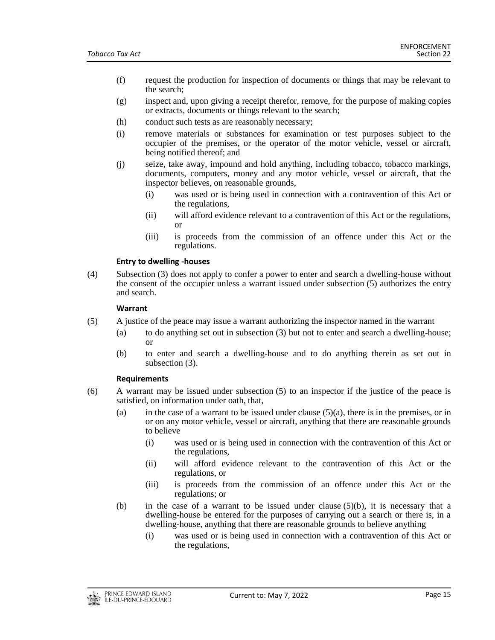- (f) request the production for inspection of documents or things that may be relevant to the search;
- (g) inspect and, upon giving a receipt therefor, remove, for the purpose of making copies or extracts, documents or things relevant to the search;
- (h) conduct such tests as are reasonably necessary;
- (i) remove materials or substances for examination or test purposes subject to the occupier of the premises, or the operator of the motor vehicle, vessel or aircraft, being notified thereof; and
- (j) seize, take away, impound and hold anything, including tobacco, tobacco markings, documents, computers, money and any motor vehicle, vessel or aircraft, that the inspector believes, on reasonable grounds,
	- (i) was used or is being used in connection with a contravention of this Act or the regulations,
	- (ii) will afford evidence relevant to a contravention of this Act or the regulations, or
	- (iii) is proceeds from the commission of an offence under this Act or the regulations.

#### **Entry to dwelling -houses**

(4) Subsection (3) does not apply to confer a power to enter and search a dwelling-house without the consent of the occupier unless a warrant issued under subsection (5) authorizes the entry and search.

#### **Warrant**

- (5) A justice of the peace may issue a warrant authorizing the inspector named in the warrant
	- (a) to do anything set out in subsection (3) but not to enter and search a dwelling-house; or
	- (b) to enter and search a dwelling-house and to do anything therein as set out in subsection (3).

#### **Requirements**

- (6) A warrant may be issued under subsection (5) to an inspector if the justice of the peace is satisfied, on information under oath, that,
	- (a) in the case of a warrant to be issued under clause  $(5)(a)$ , there is in the premises, or in or on any motor vehicle, vessel or aircraft, anything that there are reasonable grounds to believe
		- (i) was used or is being used in connection with the contravention of this Act or the regulations,
		- (ii) will afford evidence relevant to the contravention of this Act or the regulations, or
		- (iii) is proceeds from the commission of an offence under this Act or the regulations; or
	- (b) in the case of a warrant to be issued under clause  $(5)(b)$ , it is necessary that a dwelling-house be entered for the purposes of carrying out a search or there is, in a dwelling-house, anything that there are reasonable grounds to believe anything
		- (i) was used or is being used in connection with a contravention of this Act or the regulations,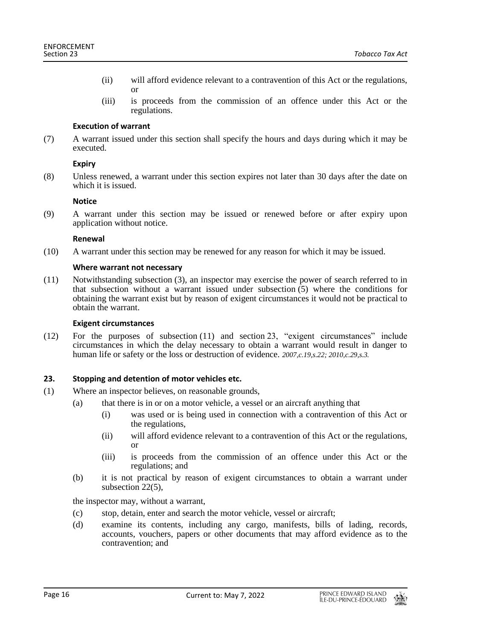- (ii) will afford evidence relevant to a contravention of this Act or the regulations, or
- (iii) is proceeds from the commission of an offence under this Act or the regulations.

# **Execution of warrant**

(7) A warrant issued under this section shall specify the hours and days during which it may be executed.

# **Expiry**

(8) Unless renewed, a warrant under this section expires not later than 30 days after the date on which it is issued.

#### **Notice**

(9) A warrant under this section may be issued or renewed before or after expiry upon application without notice.

#### **Renewal**

(10) A warrant under this section may be renewed for any reason for which it may be issued.

#### **Where warrant not necessary**

(11) Notwithstanding subsection (3), an inspector may exercise the power of search referred to in that subsection without a warrant issued under subsection  $(5)$  where the conditions for obtaining the warrant exist but by reason of exigent circumstances it would not be practical to obtain the warrant.

#### **Exigent circumstances**

(12) For the purposes of subsection (11) and section 23, "exigent circumstances" include circumstances in which the delay necessary to obtain a warrant would result in danger to human life or safety or the loss or destruction of evidence. *2007,c.19,s.22; 2010,c.29,s.3.*

# <span id="page-15-0"></span>**23. Stopping and detention of motor vehicles etc.**

- (1) Where an inspector believes, on reasonable grounds,
	- (a) that there is in or on a motor vehicle, a vessel or an aircraft anything that
		- (i) was used or is being used in connection with a contravention of this Act or the regulations,
		- (ii) will afford evidence relevant to a contravention of this Act or the regulations, or
		- (iii) is proceeds from the commission of an offence under this Act or the regulations; and
	- (b) it is not practical by reason of exigent circumstances to obtain a warrant under subsection 22(5),

the inspector may, without a warrant,

- (c) stop, detain, enter and search the motor vehicle, vessel or aircraft;
- (d) examine its contents, including any cargo, manifests, bills of lading, records, accounts, vouchers, papers or other documents that may afford evidence as to the contravention; and

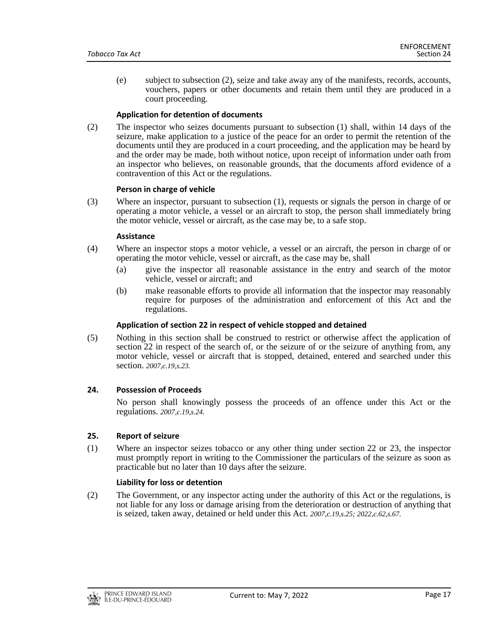(e) subject to subsection (2), seize and take away any of the manifests, records, accounts, vouchers, papers or other documents and retain them until they are produced in a court proceeding.

#### **Application for detention of documents**

(2) The inspector who seizes documents pursuant to subsection (1) shall, within 14 days of the seizure, make application to a justice of the peace for an order to permit the retention of the documents until they are produced in a court proceeding, and the application may be heard by and the order may be made, both without notice, upon receipt of information under oath from an inspector who believes, on reasonable grounds, that the documents afford evidence of a contravention of this Act or the regulations.

#### **Person in charge of vehicle**

(3) Where an inspector, pursuant to subsection (1), requests or signals the person in charge of or operating a motor vehicle, a vessel or an aircraft to stop, the person shall immediately bring the motor vehicle, vessel or aircraft, as the case may be, to a safe stop.

#### **Assistance**

- (4) Where an inspector stops a motor vehicle, a vessel or an aircraft, the person in charge of or operating the motor vehicle, vessel or aircraft, as the case may be, shall
	- (a) give the inspector all reasonable assistance in the entry and search of the motor vehicle, vessel or aircraft; and
	- (b) make reasonable efforts to provide all information that the inspector may reasonably require for purposes of the administration and enforcement of this Act and the regulations.

# **Application of section 22 in respect of vehicle stopped and detained**

(5) Nothing in this section shall be construed to restrict or otherwise affect the application of section 22 in respect of the search of, or the seizure of or the seizure of anything from, any motor vehicle, vessel or aircraft that is stopped, detained, entered and searched under this section. *2007,c.19,s.23.*

#### <span id="page-16-0"></span>**24. Possession of Proceeds**

No person shall knowingly possess the proceeds of an offence under this Act or the regulations. *2007,c.19,s.24.*

#### <span id="page-16-1"></span>**25. Report of seizure**

(1) Where an inspector seizes tobacco or any other thing under section 22 or 23, the inspector must promptly report in writing to the Commissioner the particulars of the seizure as soon as practicable but no later than 10 days after the seizure.

#### **Liability for loss or detention**

(2) The Government, or any inspector acting under the authority of this Act or the regulations, is not liable for any loss or damage arising from the deterioration or destruction of anything that is seized, taken away, detained or held under this Act. *2007,c.19,s.25; 2022,c.62,s.67.*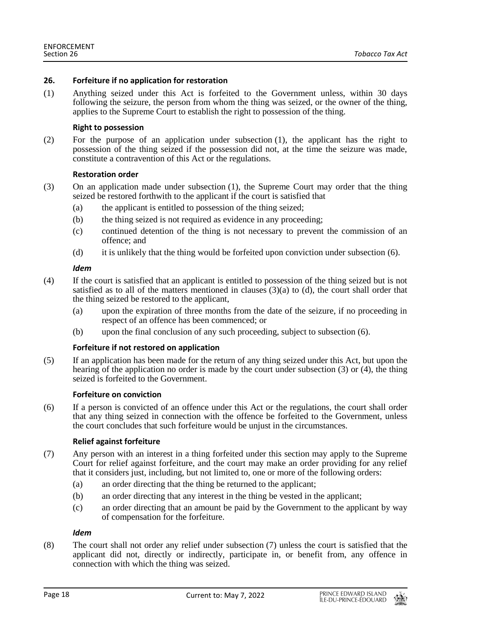## <span id="page-17-0"></span>**26. Forfeiture if no application for restoration**

(1) Anything seized under this Act is forfeited to the Government unless, within 30 days following the seizure, the person from whom the thing was seized, or the owner of the thing, applies to the Supreme Court to establish the right to possession of the thing.

#### **Right to possession**

(2) For the purpose of an application under subsection (1), the applicant has the right to possession of the thing seized if the possession did not, at the time the seizure was made, constitute a contravention of this Act or the regulations.

#### **Restoration order**

- (3) On an application made under subsection (1), the Supreme Court may order that the thing seized be restored forthwith to the applicant if the court is satisfied that
	- (a) the applicant is entitled to possession of the thing seized;
	- (b) the thing seized is not required as evidence in any proceeding;
	- (c) continued detention of the thing is not necessary to prevent the commission of an offence; and
	- (d) it is unlikely that the thing would be forfeited upon conviction under subsection (6).

#### *Idem*

- (4) If the court is satisfied that an applicant is entitled to possession of the thing seized but is not satisfied as to all of the matters mentioned in clauses  $(3)(a)$  to  $(d)$ , the court shall order that the thing seized be restored to the applicant,
	- (a) upon the expiration of three months from the date of the seizure, if no proceeding in respect of an offence has been commenced; or
	- (b) upon the final conclusion of any such proceeding, subject to subsection (6).

#### **Forfeiture if not restored on application**

(5) If an application has been made for the return of any thing seized under this Act, but upon the hearing of the application no order is made by the court under subsection (3) or (4), the thing seized is forfeited to the Government.

#### **Forfeiture on conviction**

(6) If a person is convicted of an offence under this Act or the regulations, the court shall order that any thing seized in connection with the offence be forfeited to the Government, unless the court concludes that such forfeiture would be unjust in the circumstances.

# **Relief against forfeiture**

- (7) Any person with an interest in a thing forfeited under this section may apply to the Supreme Court for relief against forfeiture, and the court may make an order providing for any relief that it considers just, including, but not limited to, one or more of the following orders:
	- (a) an order directing that the thing be returned to the applicant;
	- (b) an order directing that any interest in the thing be vested in the applicant;
	- (c) an order directing that an amount be paid by the Government to the applicant by way of compensation for the forfeiture.

#### *Idem*

(8) The court shall not order any relief under subsection (7) unless the court is satisfied that the applicant did not, directly or indirectly, participate in, or benefit from, any offence in connection with which the thing was seized.

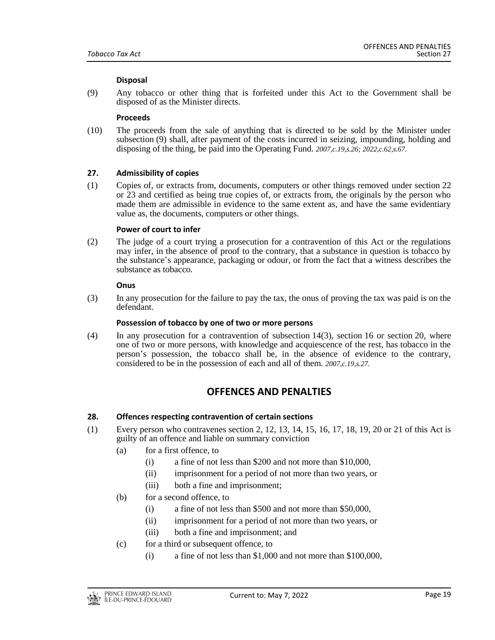#### **Disposal**

(9) Any tobacco or other thing that is forfeited under this Act to the Government shall be disposed of as the Minister directs.

#### **Proceeds**

(10) The proceeds from the sale of anything that is directed to be sold by the Minister under subsection (9) shall, after payment of the costs incurred in seizing, impounding, holding and disposing of the thing, be paid into the Operating Fund. *2007,c.19,s.26; 2022,c.62,s.67.*

#### <span id="page-18-0"></span>**27. Admissibility of copies**

(1) Copies of, or extracts from, documents, computers or other things removed under section 22 or 23 and certified as being true copies of, or extracts from, the originals by the person who made them are admissible in evidence to the same extent as, and have the same evidentiary value as, the documents, computers or other things.

#### **Power of court to infer**

(2) The judge of a court trying a prosecution for a contravention of this Act or the regulations may infer, in the absence of proof to the contrary, that a substance in question is tobacco by the substance's appearance, packaging or odour, or from the fact that a witness describes the substance as tobacco.

#### **Onus**

(3) In any prosecution for the failure to pay the tax, the onus of proving the tax was paid is on the defendant.

#### **Possession of tobacco by one of two or more persons**

<span id="page-18-1"></span>(4) In any prosecution for a contravention of subsection 14(3), section 16 or section 20, where one of two or more persons, with knowledge and acquiescence of the rest, has tobacco in the person's possession, the tobacco shall be, in the absence of evidence to the contrary, considered to be in the possession of each and all of them. *2007,c.19,s.27.*

# **OFFENCES AND PENALTIES**

#### <span id="page-18-2"></span>**28. Offences respecting contravention of certain sections**

- (1) Every person who contravenes section 2, 12, 13, 14, 15, 16, 17, 18, 19, 20 or 21 of this Act is guilty of an offence and liable on summary conviction
	- (a) for a first offence, to
		- (i) a fine of not less than \$200 and not more than \$10,000,
		- (ii) imprisonment for a period of not more than two years, or
		- (iii) both a fine and imprisonment;
	- (b) for a second offence, to
		- (i) a fine of not less than \$500 and not more than \$50,000,
		- (ii) imprisonment for a period of not more than two years, or
		- (iii) both a fine and imprisonment; and
	- (c) for a third or subsequent offence, to
		- (i) a fine of not less than \$1,000 and not more than \$100,000,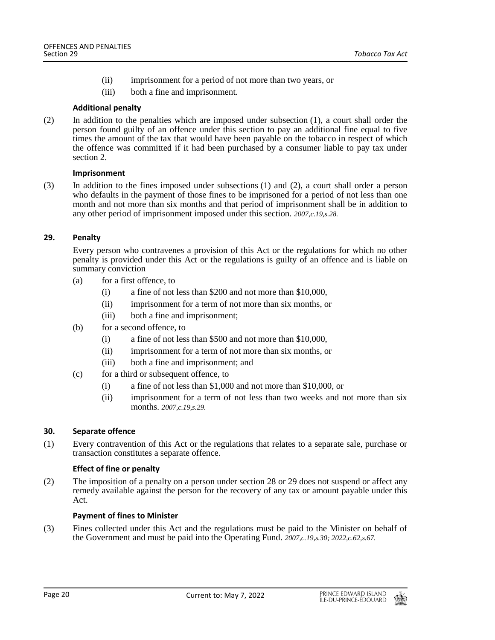- (ii) imprisonment for a period of not more than two years, or
- (iii) both a fine and imprisonment.

## **Additional penalty**

(2) In addition to the penalties which are imposed under subsection (1), a court shall order the person found guilty of an offence under this section to pay an additional fine equal to five times the amount of the tax that would have been payable on the tobacco in respect of which the offence was committed if it had been purchased by a consumer liable to pay tax under section 2.

#### **Imprisonment**

(3) In addition to the fines imposed under subsections (1) and (2), a court shall order a person who defaults in the payment of those fines to be imprisoned for a period of not less than one month and not more than six months and that period of imprisonment shall be in addition to any other period of imprisonment imposed under this section. *2007,c.19,s.28.*

# <span id="page-19-0"></span>**29. Penalty**

Every person who contravenes a provision of this Act or the regulations for which no other penalty is provided under this Act or the regulations is guilty of an offence and is liable on summary conviction

- (a) for a first offence, to
	- (i) a fine of not less than \$200 and not more than \$10,000,
	- (ii) imprisonment for a term of not more than six months, or
	- (iii) both a fine and imprisonment;
- (b) for a second offence, to
	- (i) a fine of not less than \$500 and not more than \$10,000,
	- (ii) imprisonment for a term of not more than six months, or
	- (iii) both a fine and imprisonment; and
- (c) for a third or subsequent offence, to
	- (i) a fine of not less than \$1,000 and not more than \$10,000, or
	- (ii) imprisonment for a term of not less than two weeks and not more than six months. *2007,c.19,s.29.*

# <span id="page-19-1"></span>**30. Separate offence**

(1) Every contravention of this Act or the regulations that relates to a separate sale, purchase or transaction constitutes a separate offence.

# **Effect of fine or penalty**

(2) The imposition of a penalty on a person under section 28 or 29 does not suspend or affect any remedy available against the person for the recovery of any tax or amount payable under this Act.

# **Payment of fines to Minister**

(3) Fines collected under this Act and the regulations must be paid to the Minister on behalf of the Government and must be paid into the Operating Fund. *2007,c.19,s.30; 2022,c.62,s.67.*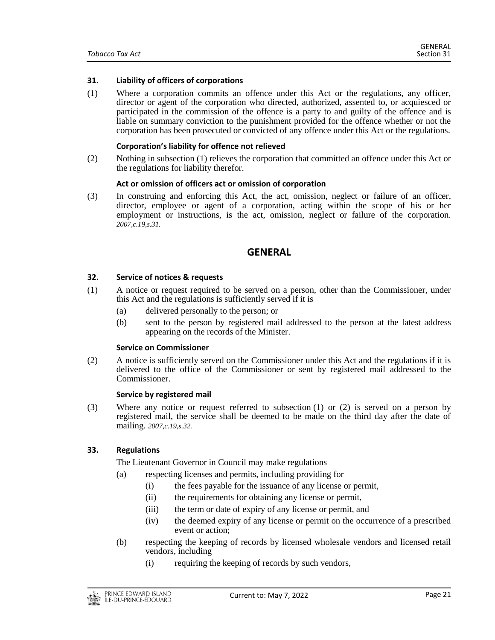#### <span id="page-20-0"></span>**31. Liability of officers of corporations**

(1) Where a corporation commits an offence under this Act or the regulations, any officer, director or agent of the corporation who directed, authorized, assented to, or acquiesced or participated in the commission of the offence is a party to and guilty of the offence and is liable on summary conviction to the punishment provided for the offence whether or not the corporation has been prosecuted or convicted of any offence under this Act or the regulations.

#### **Corporation's liability for offence not relieved**

(2) Nothing in subsection (1) relieves the corporation that committed an offence under this Act or the regulations for liability therefor.

#### **Act or omission of officers act or omission of corporation**

<span id="page-20-1"></span>(3) In construing and enforcing this Act, the act, omission, neglect or failure of an officer, director, employee or agent of a corporation, acting within the scope of his or her employment or instructions, is the act, omission, neglect or failure of the corporation. *2007,c.19,s.31.*

# **GENERAL**

#### <span id="page-20-2"></span>**32. Service of notices & requests**

- (1) A notice or request required to be served on a person, other than the Commissioner, under this Act and the regulations is sufficiently served if it is
	- (a) delivered personally to the person; or
	- (b) sent to the person by registered mail addressed to the person at the latest address appearing on the records of the Minister.

#### **Service on Commissioner**

(2) A notice is sufficiently served on the Commissioner under this Act and the regulations if it is delivered to the office of the Commissioner or sent by registered mail addressed to the Commissioner.

#### **Service by registered mail**

(3) Where any notice or request referred to subsection (1) or (2) is served on a person by registered mail, the service shall be deemed to be made on the third day after the date of mailing. *2007,c.19,s.32.*

# <span id="page-20-3"></span>**33. Regulations**

The Lieutenant Governor in Council may make regulations

- (a) respecting licenses and permits, including providing for
	- (i) the fees payable for the issuance of any license or permit,
	- (ii) the requirements for obtaining any license or permit,
	- (iii) the term or date of expiry of any license or permit, and
	- (iv) the deemed expiry of any license or permit on the occurrence of a prescribed event or action;
- (b) respecting the keeping of records by licensed wholesale vendors and licensed retail vendors, including
	- (i) requiring the keeping of records by such vendors,